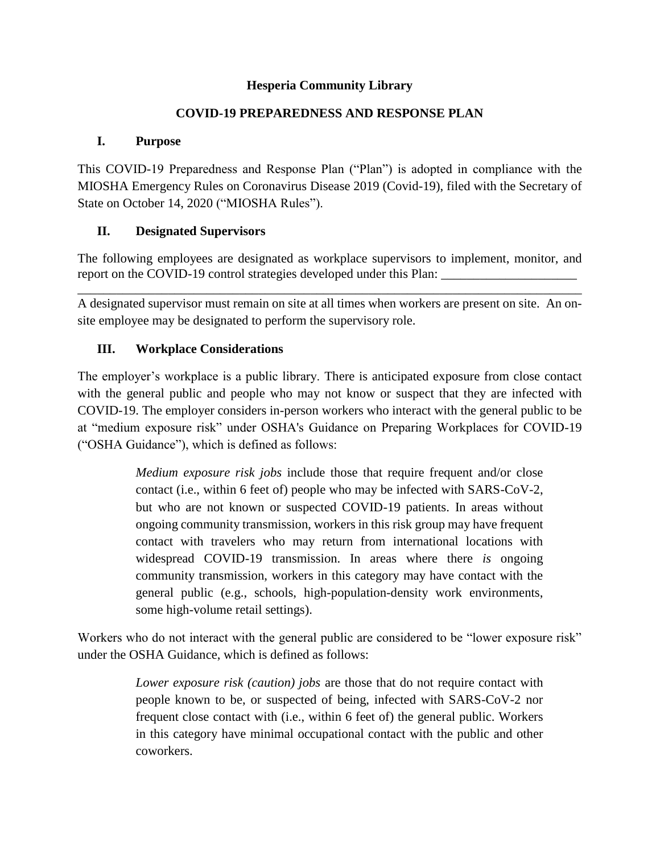#### **Hesperia Community Library**

## **COVID-19 PREPAREDNESS AND RESPONSE PLAN**

#### **I. Purpose**

This COVID-19 Preparedness and Response Plan ("Plan") is adopted in compliance with the MIOSHA Emergency Rules on Coronavirus Disease 2019 (Covid-19), filed with the Secretary of State on October 14, 2020 ("MIOSHA Rules").

## **II. Designated Supervisors**

The following employees are designated as workplace supervisors to implement, monitor, and report on the COVID-19 control strategies developed under this Plan:

A designated supervisor must remain on site at all times when workers are present on site. An onsite employee may be designated to perform the supervisory role.

\_\_\_\_\_\_\_\_\_\_\_\_\_\_\_\_\_\_\_\_\_\_\_\_\_\_\_\_\_\_\_\_\_\_\_\_\_\_\_\_\_\_\_\_\_\_\_\_\_\_\_\_\_\_\_\_\_\_\_\_\_\_\_\_\_\_\_\_\_\_\_\_\_\_\_\_\_\_

## **III. Workplace Considerations**

The employer's workplace is a public library. There is anticipated exposure from close contact with the general public and people who may not know or suspect that they are infected with COVID-19. The employer considers in-person workers who interact with the general public to be at "medium exposure risk" under OSHA's Guidance on Preparing Workplaces for COVID-19 ("OSHA Guidance"), which is defined as follows:

> *Medium exposure risk jobs* include those that require frequent and/or close contact (i.e., within 6 feet of) people who may be infected with SARS-CoV-2, but who are not known or suspected COVID-19 patients. In areas without ongoing community transmission, workers in this risk group may have frequent contact with travelers who may return from international locations with widespread COVID-19 transmission. In areas where there *is* ongoing community transmission, workers in this category may have contact with the general public (e.g., schools, high-population-density work environments, some high-volume retail settings).

Workers who do not interact with the general public are considered to be "lower exposure risk" under the OSHA Guidance, which is defined as follows:

> *Lower exposure risk (caution) jobs* are those that do not require contact with people known to be, or suspected of being, infected with SARS-CoV-2 nor frequent close contact with (i.e., within 6 feet of) the general public. Workers in this category have minimal occupational contact with the public and other coworkers.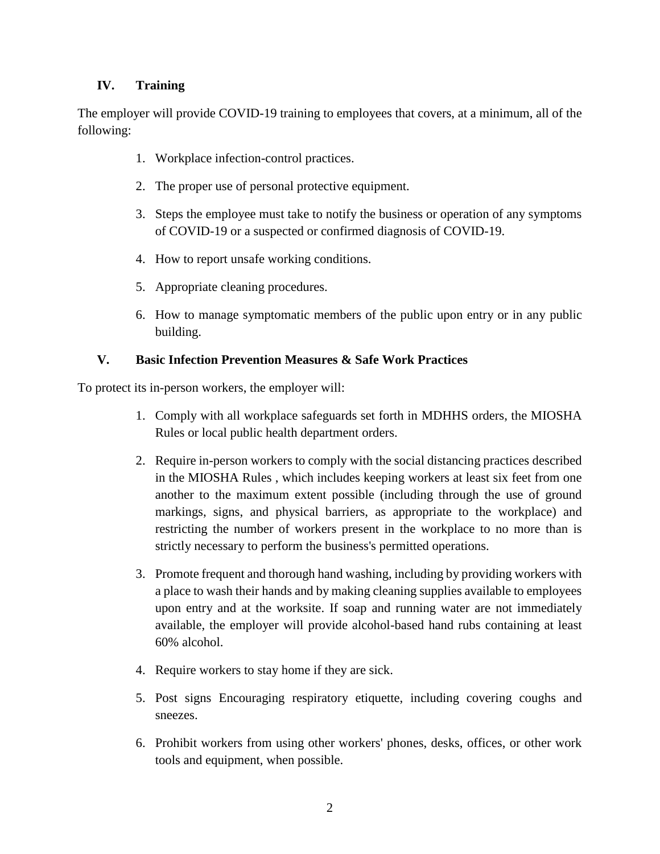#### **IV. Training**

The employer will provide COVID-19 training to employees that covers, at a minimum, all of the following:

- 1. Workplace infection-control practices.
- 2. The proper use of personal protective equipment.
- 3. Steps the employee must take to notify the business or operation of any symptoms of COVID-19 or a suspected or confirmed diagnosis of COVID-19.
- 4. How to report unsafe working conditions.
- 5. Appropriate cleaning procedures.
- 6. How to manage symptomatic members of the public upon entry or in any public building.

#### **V. Basic Infection Prevention Measures & Safe Work Practices**

To protect its in-person workers, the employer will:

- 1. Comply with all workplace safeguards set forth in MDHHS orders, the MIOSHA Rules or local public health department orders.
- 2. Require in-person workers to comply with the social distancing practices described in the MIOSHA Rules , which includes keeping workers at least six feet from one another to the maximum extent possible (including through the use of ground markings, signs, and physical barriers, as appropriate to the workplace) and restricting the number of workers present in the workplace to no more than is strictly necessary to perform the business's permitted operations.
- 3. Promote frequent and thorough hand washing, including by providing workers with a place to wash their hands and by making cleaning supplies available to employees upon entry and at the worksite. If soap and running water are not immediately available, the employer will provide alcohol-based hand rubs containing at least 60% alcohol.
- 4. Require workers to stay home if they are sick.
- 5. Post signs Encouraging respiratory etiquette, including covering coughs and sneezes.
- 6. Prohibit workers from using other workers' phones, desks, offices, or other work tools and equipment, when possible.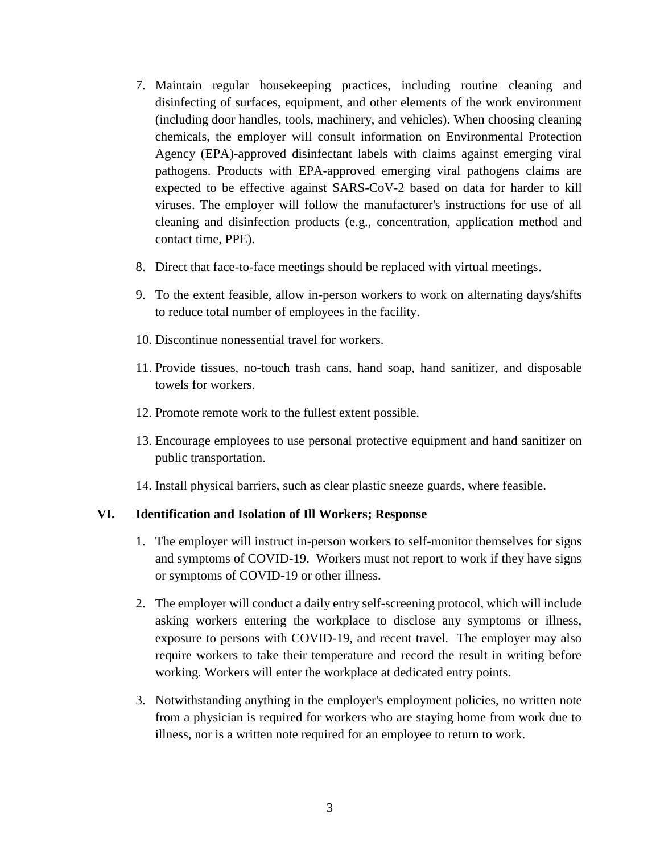- 7. Maintain regular housekeeping practices, including routine cleaning and disinfecting of surfaces, equipment, and other elements of the work environment (including door handles, tools, machinery, and vehicles). When choosing cleaning chemicals, the employer will consult information on Environmental Protection Agency (EPA)-approved disinfectant labels with claims against emerging viral pathogens. Products with EPA-approved emerging viral pathogens claims are expected to be effective against SARS-CoV-2 based on data for harder to kill viruses. The employer will follow the manufacturer's instructions for use of all cleaning and disinfection products (e.g., concentration, application method and contact time, PPE).
- 8. Direct that face-to-face meetings should be replaced with virtual meetings.
- 9. To the extent feasible, allow in-person workers to work on alternating days/shifts to reduce total number of employees in the facility.
- 10. Discontinue nonessential travel for workers.
- 11. Provide tissues, no-touch trash cans, hand soap, hand sanitizer, and disposable towels for workers.
- 12. Promote remote work to the fullest extent possible.
- 13. Encourage employees to use personal protective equipment and hand sanitizer on public transportation.
- 14. Install physical barriers, such as clear plastic sneeze guards, where feasible.

#### **VI. Identification and Isolation of Ill Workers; Response**

- 1. The employer will instruct in-person workers to self-monitor themselves for signs and symptoms of COVID-19. Workers must not report to work if they have signs or symptoms of COVID-19 or other illness.
- 2. The employer will conduct a daily entry self-screening protocol, which will include asking workers entering the workplace to disclose any symptoms or illness, exposure to persons with COVID-19, and recent travel. The employer may also require workers to take their temperature and record the result in writing before working. Workers will enter the workplace at dedicated entry points.
- 3. Notwithstanding anything in the employer's employment policies, no written note from a physician is required for workers who are staying home from work due to illness, nor is a written note required for an employee to return to work.